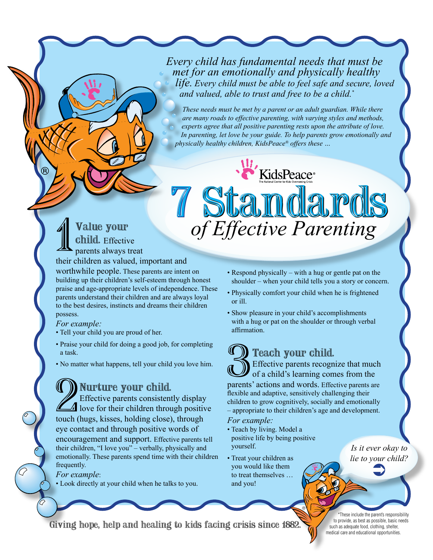*Every child has fundamental needs that must be met for an emotionally and physically healthy life. Every child must be able to feel safe and secure, loved and valued, able to trust and free to be a child.\** 

*These needs must be met by a parent or an adult guardian. While there are many roads to effective parenting, with varying styles and methods, experts agree that all positive parenting rests upon the attribute of love. In parenting, let love be your guide. To help parents grow emotionally and physically healthy children, KidsPeace® offers these …*

KidsPeace®

*of Effective Parenting*

## Value your child. Effective parents always treat their children as valued, important and 7 Standards 7 Standards

worthwhile people. These parents are intent on building up their children's self-esteem through honest praise and age-appropriate levels of independence. These parents understand their children and are always loyal to the best desires, instincts and dreams their children possess.

### *For example:*

- Tell your child you are proud of her.
- Praise your child for doing a good job, for completing a task.
- No matter what happens, tell your child you love him.

# Nurture your child.

**2**<br>2 Effection<br>touch (hug Effective parents consistently display  $\Delta$  love for their children through positive touch (hugs, kisses, holding close), through eye contact and through positive words of encouragement and support. Effective parents tell their children, "I love you" – verbally, physically and emotionally. These parents spend time with their children frequently.

### *For example*:

• Look directly at your child when he talks to you.

- Respond physically with a hug or gentle pat on the shoulder – when your child tells you a story or concern.
- Physically comfort your child when he is frightened or ill.
- Show pleasure in your child's accomplishments with a hug or pat on the shoulder or through verbal affirmation.

## Teach your child.

**1 Teach your child.**<br>3 Effective parents recognize that much<br>of a child's learning comes from the<br>parents' actions and words. Effective parents are Effective parents recognize that much of a child's learning comes from the

flexible and adaptive, sensitively challenging their children to grow cognitively, socially and emotionally – appropriate to their children's age and development.

®

*For example:*

- Teach by living. Model a positive life by being positive yourself.
- Treat your children as you would like them to treat themselves … and you!

*Is it ever okay to lie to your child?* ‹

Giving hope, help and healing to kids facing crisis since 1882.

\*These include the parent's responsibility to provide, as best as possible, basic needs such as adequate food, clothing, shelter, medical care and educational opportunities.